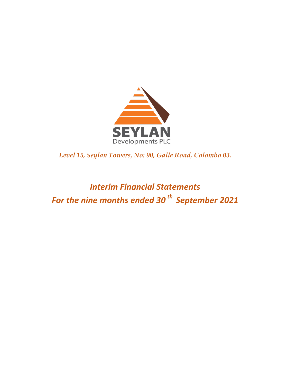

*Level 15, Seylan Towers, No: 90, Galle Road, Colombo 03.* 

*Interim Financial Statements For the nine months ended 30 th September 2021*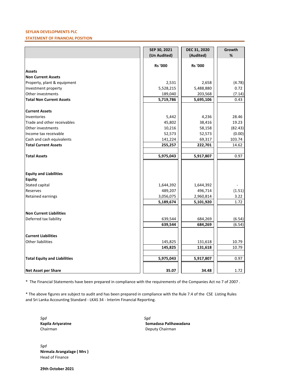## **SEYLAN DEVELOPMENTS PLC**

## **STATEMENT OF FINANCIAL POSITION**

|                                     | SEP 30, 2021   | DEC 31, 2020   | Growth  |
|-------------------------------------|----------------|----------------|---------|
|                                     | (Un Audited)   | (Audited)      | %       |
|                                     |                |                |         |
|                                     | <b>Rs '000</b> | <b>Rs '000</b> |         |
| <b>Assets</b>                       |                |                |         |
| <b>Non Current Assets</b>           |                |                |         |
| Property, plant & equipment         | 2,531          | 2,658          | (4.78)  |
| Investment property                 | 5,528,215      | 5,488,880      | 0.72    |
| Other investments                   | 189,040        | 203,568        | (7.14)  |
| <b>Total Non Current Assets</b>     | 5,719,786      | 5,695,106      | 0.43    |
| <b>Current Assets</b>               |                |                |         |
| Inventories                         | 5,442          | 4,236          | 28.46   |
| Trade and other receivables         | 45,802         | 38,416         | 19.23   |
| Other investments                   | 10,216         | 58,158         | (82.43) |
| Income tax receivable               | 52,573         | 52,573         | (0.00)  |
| Cash and cash equivalents           | 141,224        | 69,317         | 103.74  |
| <b>Total Current Assets</b>         | 255,257        | 222,701        | 14.62   |
| <b>Total Assets</b>                 | 5,975,043      | 5,917,807      | 0.97    |
|                                     |                |                |         |
|                                     |                |                |         |
| <b>Equity and Liabilities</b>       |                |                |         |
| <b>Equity</b>                       |                |                |         |
| Stated capital                      | 1,644,392      | 1,644,392      |         |
| Reserves                            | 489,207        | 496,714        | (1.51)  |
| Retained earnings                   | 3,056,075      | 2,960,814      | 3.22    |
|                                     | 5,189,674      | 5,101,920      | 1.72    |
| <b>Non Current Liabilities</b>      |                |                |         |
| Deferred tax liability              | 639,544        | 684,269        | (6.54)  |
|                                     | 639,544        | 684,269        | (6.54)  |
|                                     |                |                |         |
| <b>Current Liabilities</b>          |                |                |         |
| <b>Other liabilities</b>            | 145,825        | 131,618        | 10.79   |
|                                     | 145,825        | 131,618        | 10.79   |
|                                     |                |                |         |
| <b>Total Equity and Liabilities</b> | 5,975,043      | 5,917,807      | 0.97    |
| Net Asset per Share                 | 35.07          | 34.48          | 1.72    |

\* The Financial Statements have been prepared in compliance with the requirements of the Companies Act no 7 of 2007 .

\* The above figures are subject to audit and has been prepared in compliance with the Rule 7.4 of the CSE Listing Rules and Sri Lanka Accounting Standard - LKAS 34 - Interim Financial Reporting.

*Sgd Sgd*

**Kapila Ariyaratne Somadasa Palihawadana** Chairman Deputy Chairman

*Sgd* **Nirmala Arangalage ( Mrs )** Head of Finance

**29th October 2021**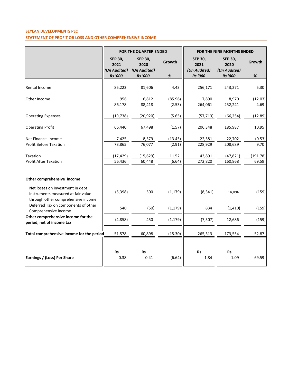# **SEYLAN DEVELOPMENTS PLC STATEMENT OF PROFIT OR LOSS AND OTHER COMPREHENSIVE INCOME**

|                                                                                                              | FOR THE QUARTER ENDED          |                                | FOR THE NINE MONTHS ENDED |                                |                                |          |
|--------------------------------------------------------------------------------------------------------------|--------------------------------|--------------------------------|---------------------------|--------------------------------|--------------------------------|----------|
|                                                                                                              | <b>SEP 30,</b><br>2021         | <b>SEP 30,</b><br>2020         | Growth                    | <b>SEP 30,</b><br>2021         | <b>SEP 30,</b><br>2020         | Growth   |
|                                                                                                              | (Un Audited)<br><b>Rs</b> '000 | (Un Audited)<br><b>Rs</b> '000 | $\%$                      | (Un Audited)<br><b>Rs</b> '000 | (Un Audited)<br><b>Rs</b> '000 | $\%$     |
| Rental Income                                                                                                | 85,222                         | 81,606                         | 4.43                      | 256,171                        | 243,271                        | 5.30     |
| Other Income                                                                                                 | 956                            | 6,812                          | (85.96)                   | 7,890                          | 8,970                          | (12.03)  |
|                                                                                                              | 86,178                         | 88,418                         | (2.53)                    | 264,061                        | 252,241                        | 4.69     |
| <b>Operating Expenses</b>                                                                                    | (19, 738)                      | (20, 920)                      | (5.65)                    | (57, 713)                      | (66, 254)                      | (12.89)  |
| <b>Operating Profit</b>                                                                                      | 66,440                         | 67,498                         | (1.57)                    | 206,348                        | 185,987                        | 10.95    |
| Net Finance income                                                                                           | 7,425                          | 8,579                          | (13.45)                   | 22,581                         | 22,702                         | (0.53)   |
| <b>Profit Before Taxation</b>                                                                                | 73,865                         | 76,077                         | (2.91)                    | 228,929                        | 208,689                        | 9.70     |
| Taxation                                                                                                     | (17, 429)                      | (15, 629)                      | 11.52                     | 43,891                         | (47, 821)                      | (191.78) |
| <b>Profit After Taxation</b>                                                                                 | 56,436                         | 60,448                         | (6.64)                    | 272,820                        | 160,868                        | 69.59    |
| Other comprehensive income                                                                                   |                                |                                |                           |                                |                                |          |
| Net losses on investment in debt<br>instruments measured at fair value<br>through other comprehensive income | (5, 398)                       | 500                            | (1, 179)                  | (8, 341)                       | 14,096                         | (159)    |
| Deferred Tax on components of other<br>Comprehensive income                                                  | 540                            | (50)                           | (1, 179)                  | 834                            | (1, 410)                       | (159)    |
| Other comprehensive income for the<br>period, net of income tax                                              | (4,858)                        | 450                            | (1, 179)                  | (7, 507)                       | 12,686                         | (159)    |
| Total comprehensive income for the period                                                                    | 51,578                         | 60,898                         | (15.30)                   | 265,313                        | 173,554                        | 52.87    |
| Earnings / (Loss) Per Share                                                                                  | Rs<br>0.38                     | Rs<br>0.41                     | (6.64)                    | Rs<br>1.84                     | $Rs$<br>1.09                   | 69.59    |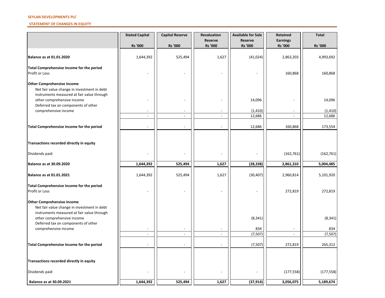### **SEYLAN DEVELOPMENTS PLC**

## **STATEMENT OF CHANGES IN EQUITY**

|                                                                                                                                | <b>Stated Capital</b>    | <b>Capital Reserve</b>   | <b>Revaluation</b><br><b>Reserve</b> | <b>Available for Sale</b><br><b>Reserve</b> | <b>Retained</b><br><b>Earnings</b> | <b>Total</b>   |
|--------------------------------------------------------------------------------------------------------------------------------|--------------------------|--------------------------|--------------------------------------|---------------------------------------------|------------------------------------|----------------|
|                                                                                                                                | <b>Rs '000</b>           | <b>Rs '000</b>           | <b>Rs '000</b>                       | Rs '000                                     | Rs '000                            | <b>Rs '000</b> |
| <b>Balance as at 01.01.2020</b>                                                                                                | 1,644,392                | 525,494                  | 1,627                                | (41, 024)                                   | 2,863,203                          | 4,993,692      |
| Total Comprehensive Income for the period<br>Profit or Loss                                                                    |                          |                          |                                      |                                             | 160,868                            | 160,868        |
| <b>Other Comprehensive Income</b><br>Net fair value change in investment in debt<br>instruments measured at fair value through |                          |                          |                                      |                                             |                                    |                |
| other comprehensive income<br>Deferred tax on components of other                                                              |                          |                          |                                      | 14,096                                      |                                    | 14,096         |
| comprehensive income                                                                                                           | $\overline{a}$           | $\overline{\phantom{a}}$ |                                      | (1, 410)                                    | $\overline{\phantom{a}}$           | (1, 410)       |
|                                                                                                                                | $\overline{\phantom{a}}$ | $\overline{\phantom{a}}$ | $\blacksquare$                       | 12,686                                      |                                    | 12,686         |
| Total Comprehensive Income for the period                                                                                      | $\overline{\phantom{a}}$ | $\overline{\phantom{a}}$ |                                      | 12,686                                      | 160,868                            | 173,554        |
| Transactions recorded directly in equity                                                                                       |                          |                          |                                      |                                             |                                    |                |
| Dividends paid                                                                                                                 |                          |                          |                                      |                                             | (162, 761)                         | (162, 761)     |
| <b>Balance as at 30.09.2020</b>                                                                                                | 1,644,392                | 525,494                  | 1,627                                | (28, 338)                                   | 2,861,310                          | 5,004,485      |
| <b>Balance as at 01.01.2021</b>                                                                                                | 1,644,392                | 525,494                  | 1,627                                | (30, 407)                                   | 2,960,814                          | 5,101,920      |
| Total Comprehensive Income for the period<br><b>Profit or Loss</b>                                                             |                          |                          |                                      |                                             | 272,819                            | 272,819        |
| <b>Other Comprehensive Income</b><br>Net fair value change in investment in debt<br>instruments measured at fair value through |                          |                          |                                      |                                             |                                    |                |
| other comprehensive income                                                                                                     |                          |                          |                                      | (8, 341)                                    |                                    | (8, 341)       |
| Deferred tax on components of other<br>comprehensive income                                                                    | $\overline{\phantom{a}}$ | $\overline{\phantom{a}}$ |                                      | 834                                         | $\overline{\phantom{a}}$           | 834            |
|                                                                                                                                | $\sim$                   | $\overline{\phantom{a}}$ | $\sim$                               | (7, 507)                                    | $\sim$                             | (7, 507)       |
| Total Comprehensive Income for the period                                                                                      |                          | $\overline{\phantom{a}}$ |                                      | (7,507)                                     | 272,819                            | 265,312        |
| Transactions recorded directly in equity                                                                                       |                          |                          |                                      |                                             |                                    |                |
| Dividends paid                                                                                                                 |                          |                          |                                      |                                             | (177, 558)                         | (177, 558)     |
| Balance as at 30.09.2021                                                                                                       | 1,644,392                | 525,494                  | 1,627                                | (37, 914)                                   | 3,056,075                          | 5,189,674      |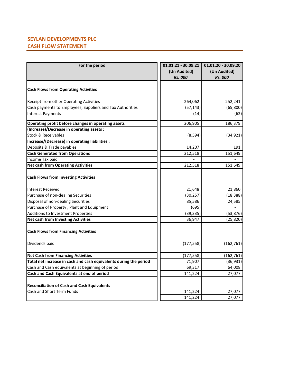# **SEYLAN DEVELOPMENTS PLC CASH FLOW STATEMENT**

| For the period                                                    | $01.01.21 - 30.09.21$<br>(Un Audited)<br><b>Rs. 000</b> | $01.01.20 - 30.09.20$<br>(Un Audited)<br><b>Rs. 000</b> |
|-------------------------------------------------------------------|---------------------------------------------------------|---------------------------------------------------------|
|                                                                   |                                                         |                                                         |
| <b>Cash Flows from Operating Activities</b>                       |                                                         |                                                         |
| Receipt from other Operating Activities                           | 264,062                                                 | 252,241                                                 |
| Cash payments to Employees, Suppliers and Tax Authorities         | (57, 143)                                               | (65,800)                                                |
| <b>Interest Payments</b>                                          | (14)                                                    | (62)                                                    |
| Operating profit before changes in operating assets               | 206,905                                                 | 186,379                                                 |
| (Increase)/Decrease in operating assets :                         |                                                         |                                                         |
| Stock & Receivables                                               | (8,594)                                                 | (34, 921)                                               |
| Increase/(Decrease) in operating liabilities :                    |                                                         |                                                         |
| Deposits & Trade payables                                         | 14,207                                                  | 191                                                     |
| <b>Cash Generated from Operations</b>                             | 212,518                                                 | 151,649                                                 |
| Income Tax paid                                                   |                                                         |                                                         |
| <b>Net cash from Operating Activities</b>                         | 212,518                                                 | 151,649                                                 |
| <b>Cash Flows from Investing Activities</b>                       |                                                         |                                                         |
| Interest Received                                                 | 21,648                                                  | 21,860                                                  |
| Purchase of non-dealing Securities                                | (30, 257)                                               | (18, 388)                                               |
| Disposal of non-dealing Securities                                | 85,586                                                  | 24,585                                                  |
| Purchase of Property, Plant and Equipment                         | (695)                                                   |                                                         |
| Additions to Investment Properties                                | (39, 335)                                               | (53, 876)                                               |
| <b>Net cash from Investing Activities</b>                         | 36,947                                                  | (25, 820)                                               |
| <b>Cash Flows from Financing Activities</b><br>Dividends paid     | (177, 558)                                              | (162, 761)                                              |
|                                                                   |                                                         |                                                         |
| <b>Net Cash from Financing Activities</b>                         | (177, 558)                                              | (162, 761)                                              |
| Total net increase in cash and cash equivalents during the period | 71,907                                                  | (36, 931)                                               |
| Cash and Cash equivalents at beginning of period                  | 69,317                                                  | 64,008                                                  |
| Cash and Cash Equivalents at end of period                        | 141,224                                                 | 27,077                                                  |
| <b>Reconciliation of Cash and Cash Equivalents</b>                |                                                         |                                                         |
| Cash and Short Term Funds                                         | 141,224                                                 | 27,077                                                  |
|                                                                   | 141,224                                                 | 27,077                                                  |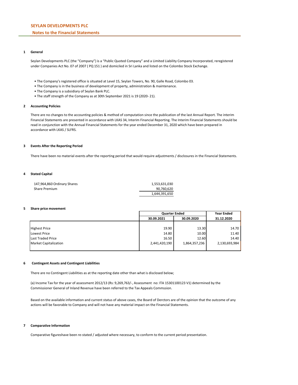## **Notes to the Financial Statements**

### **1 General**

Seylan Developments PLC (the "Company") is a "Public Quoted Company" and a Limited Liability Company Incorporated, reregistered under Companies Act No. 07 of 2007 ( PQ 151 ) and domiciled in Sri Lanka and listed on the Colombo Stock Exchange.

- The Company's registered office is situated at Level 15, Seylan Towers, No. 90, Galle Road, Colombo 03.
- The Company is in the business of development of property, administration & maintenance.
- The Company is a subsidiary of Seylan Bank PLC.
- The staff strength of the Company as at 30th September 2021 is 19 (2020- 21).

#### **2 Accounting Policies**

There are no changes to the accounting policies & method of computation since the publication of the last Annual Report. The interim Financial Statements are presented in accordance with LKAS 34, Interim Financial Reporting. The Interim Financial Statements should be read in conjunction with the Annual Financial Statements for the year ended December 31, 2020 which have been prepared in accordance with LKAS / SLFRS.

#### **3 Events After the Reporting Period**

There have been no material events after the reporting period that would require adjustments / disclosures in the Financial Statements.

### **4 Stated Capital**

| 147,964,860 Ordinary Shares | 1.553.631.030 |
|-----------------------------|---------------|
| Share Premium               | 90.760.620    |
|                             | 1,644,391,650 |

#### **5 Share price movement**

|                              | <b>Quarter Ended</b>     | <b>Year Ended</b> |               |
|------------------------------|--------------------------|-------------------|---------------|
|                              | 30.09.2021<br>30.09.2020 |                   | 31.12.2020    |
|                              |                          |                   |               |
| <b>Highest Price</b>         | 19.90                    | 13.30             | 14.70         |
| Lowest Price                 | 14.80                    | 10.00             | 11.40         |
| Last Traded Price            | 16.50                    | 12.60             | 14.40         |
| <b>Market Capitalization</b> | 2,441,420,190            | 1,864,357,236     | 2,130,693,984 |
|                              |                          |                   |               |

#### **6 Contingent Assets and Contingent Liabilities**

There are no Contingent Liabilities as at the reporting date other than what is disclosed below;

(a) Income Tax for the year of assessment 2012/13 (Rs: 9,269,763/-, Assessment no: ITA 15301100123 V1) determined by the Commissioner General of Inland Revenue have been referred to the Tax Appeals Commssion.

Based on the available information and current status of above cases, the Board of Derctors are of the opinion that the outcome of any actions will be favorable to Company and will not have any material impact on the Financial Statements.

### **7 Comparative Information**

Comparative figureshave been re-stated / adjusted where necessary, to conform to the current period presentation.